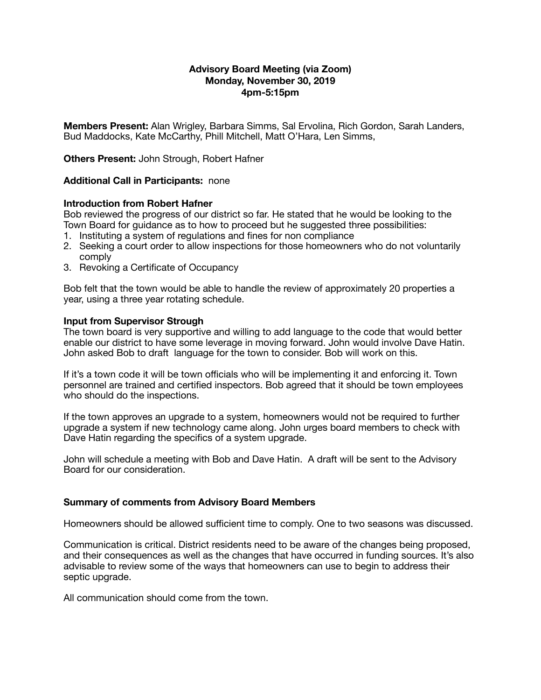# **Advisory Board Meeting (via Zoom) Monday, November 30, 2019 4pm-5:15pm**

**Members Present:** Alan Wrigley, Barbara Simms, Sal Ervolina, Rich Gordon, Sarah Landers, Bud Maddocks, Kate McCarthy, Phill Mitchell, Matt O'Hara, Len Simms,

**Others Present:** John Strough, Robert Hafner

### **Additional Call in Participants:** none

### **Introduction from Robert Hafner**

Bob reviewed the progress of our district so far. He stated that he would be looking to the Town Board for guidance as to how to proceed but he suggested three possibilities:

- 1. Instituting a system of regulations and fines for non compliance
- 2. Seeking a court order to allow inspections for those homeowners who do not voluntarily comply
- 3. Revoking a Certificate of Occupancy

Bob felt that the town would be able to handle the review of approximately 20 properties a year, using a three year rotating schedule.

### **Input from Supervisor Strough**

The town board is very supportive and willing to add language to the code that would better enable our district to have some leverage in moving forward. John would involve Dave Hatin. John asked Bob to draft language for the town to consider. Bob will work on this.

If it's a town code it will be town officials who will be implementing it and enforcing it. Town personnel are trained and certified inspectors. Bob agreed that it should be town employees who should do the inspections.

If the town approves an upgrade to a system, homeowners would not be required to further upgrade a system if new technology came along. John urges board members to check with Dave Hatin regarding the specifics of a system upgrade.

John will schedule a meeting with Bob and Dave Hatin. A draft will be sent to the Advisory Board for our consideration.

# **Summary of comments from Advisory Board Members**

Homeowners should be allowed sufficient time to comply. One to two seasons was discussed.

Communication is critical. District residents need to be aware of the changes being proposed, and their consequences as well as the changes that have occurred in funding sources. It's also advisable to review some of the ways that homeowners can use to begin to address their septic upgrade.

All communication should come from the town.